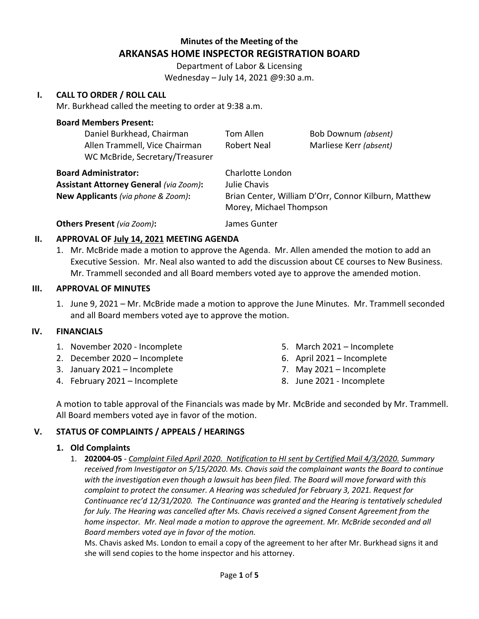## **Minutes of the Meeting of the ARKANSAS HOME INSPECTOR REGISTRATION BOARD**

Department of Labor & Licensing Wednesday – July 14, 2021 @9:30 a.m.

## **I. CALL TO ORDER / ROLL CALL**

Mr. Burkhead called the meeting to order at 9:38 a.m.

### **Board Members Present:**

| Daniel Burkhead, Chairman<br>Allen Trammell, Vice Chairman | Tom Allen<br><b>Robert Neal</b>                                                 | Bob Downum (absent)<br>Marliese Kerr (absent) |
|------------------------------------------------------------|---------------------------------------------------------------------------------|-----------------------------------------------|
| WC McBride, Secretary/Treasurer                            |                                                                                 |                                               |
| <b>Board Administrator:</b>                                | Charlotte London                                                                |                                               |
| <b>Assistant Attorney General (via Zoom):</b>              | Julie Chavis                                                                    |                                               |
| New Applicants (via phone & Zoom):                         | Brian Center, William D'Orr, Connor Kilburn, Matthew<br>Morey, Michael Thompson |                                               |
|                                                            |                                                                                 |                                               |

# **Others Present** *(via Zoom)***:** James Gunter

#### **II. APPROVAL OF July 14, 2021 MEETING AGENDA**

1. Mr. McBride made a motion to approve the Agenda. Mr. Allen amended the motion to add an Executive Session. Mr. Neal also wanted to add the discussion about CE courses to New Business. Mr. Trammell seconded and all Board members voted aye to approve the amended motion.

## **III. APPROVAL OF MINUTES**

1. June 9, 2021 – Mr. McBride made a motion to approve the June Minutes. Mr. Trammell seconded and all Board members voted aye to approve the motion.

### **IV. FINANCIALS**

- 1. November 2020 Incomplete
- 2. December 2020 Incomplete
- 3. January 2021 Incomplete
- 4. February 2021 Incomplete
- 5. March 2021 Incomplete
- 6. April 2021 Incomplete
- 7. May 2021 Incomplete
- 8. June 2021 Incomplete

A motion to table approval of the Financials was made by Mr. McBride and seconded by Mr. Trammell. All Board members voted aye in favor of the motion.

### **V. STATUS OF COMPLAINTS / APPEALS / HEARINGS**

#### **1. Old Complaints**

1. **202004-05** - *Complaint Filed April 2020. Notification to HI sent by Certified Mail 4/3/2020. Summary received from Investigator on 5/15/2020. Ms. Chavis said the complainant wants the Board to continue with the investigation even though a lawsuit has been filed. The Board will move forward with this complaint to protect the consumer. A Hearing was scheduled for February 3, 2021. Request for Continuance rec'd 12/31/2020. The Continuance was granted and the Hearing is tentatively scheduled for July. The Hearing was cancelled after Ms. Chavis received a signed Consent Agreement from the home inspector. Mr. Neal made a motion to approve the agreement. Mr. McBride seconded and all Board members voted aye in favor of the motion.* 

Ms. Chavis asked Ms. London to email a copy of the agreement to her after Mr. Burkhead signs it and she will send copies to the home inspector and his attorney.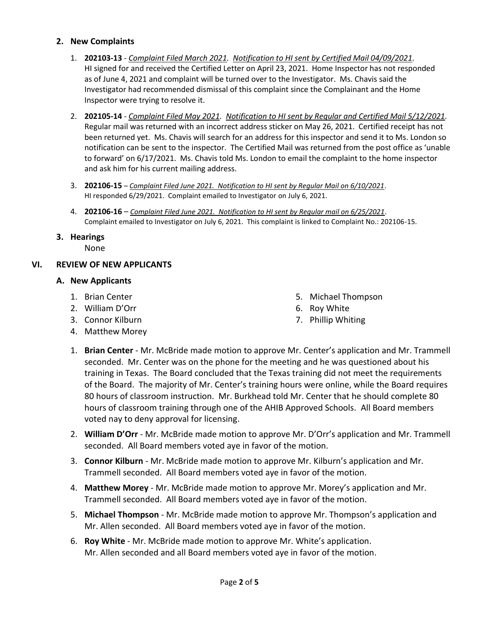## **2. New Complaints**

- 1. **202103-13** *Complaint Filed March 2021. Notification to HI sent by Certified Mail 04/09/2021.*  HI signed for and received the Certified Letter on April 23, 2021. Home Inspector has not responded as of June 4, 2021 and complaint will be turned over to the Investigator. Ms. Chavis said the Investigator had recommended dismissal of this complaint since the Complainant and the Home Inspector were trying to resolve it.
- 2. **202105-14** *Complaint Filed May 2021. Notification to HI sent by Regular and Certified Mail 5/12/2021.* Regular mail was returned with an incorrect address sticker on May 26, 2021. Certified receipt has not been returned yet. Ms. Chavis will search for an address for this inspector and send it to Ms. London so notification can be sent to the inspector. The Certified Mail was returned from the post office as 'unable to forward' on 6/17/2021. Ms. Chavis told Ms. London to email the complaint to the home inspector and ask him for his current mailing address.
- 3. **202106-15** *Complaint Filed June 2021. Notification to HI sent by Regular Mail on 6/10/2021*. HI responded 6/29/2021. Complaint emailed to Investigator on July 6, 2021.
- 4. **202106-16** *Complaint Filed June 2021. Notification to HI sent by Regular mail on 6/25/2021*. Complaint emailed to Investigator on July 6, 2021. This complaint is linked to Complaint No.: 202106-15.
- **3. Hearings**

None

## **VI. REVIEW OF NEW APPLICANTS**

### **A. New Applicants**

- 1. Brian Center
- 2. William D'Orr
- 3. Connor Kilburn
- 4. Matthew Morey
- 5. Michael Thompson
- 6. Roy White
- 7. Phillip Whiting
- 1. **Brian Center** Mr. McBride made motion to approve Mr. Center's application and Mr. Trammell seconded. Mr. Center was on the phone for the meeting and he was questioned about his training in Texas. The Board concluded that the Texas training did not meet the requirements of the Board. The majority of Mr. Center's training hours were online, while the Board requires 80 hours of classroom instruction. Mr. Burkhead told Mr. Center that he should complete 80 hours of classroom training through one of the AHIB Approved Schools. All Board members voted nay to deny approval for licensing.
- 2. **William D'Orr** Mr. McBride made motion to approve Mr. D'Orr's application and Mr. Trammell seconded. All Board members voted aye in favor of the motion.
- 3. **Connor Kilburn** Mr. McBride made motion to approve Mr. Kilburn's application and Mr. Trammell seconded. All Board members voted aye in favor of the motion.
- 4. **Matthew Morey** Mr. McBride made motion to approve Mr. Morey's application and Mr. Trammell seconded. All Board members voted aye in favor of the motion.
- 5. **Michael Thompson** Mr. McBride made motion to approve Mr. Thompson's application and Mr. Allen seconded. All Board members voted aye in favor of the motion.
- 6. **Roy White** Mr. McBride made motion to approve Mr. White's application. Mr. Allen seconded and all Board members voted aye in favor of the motion.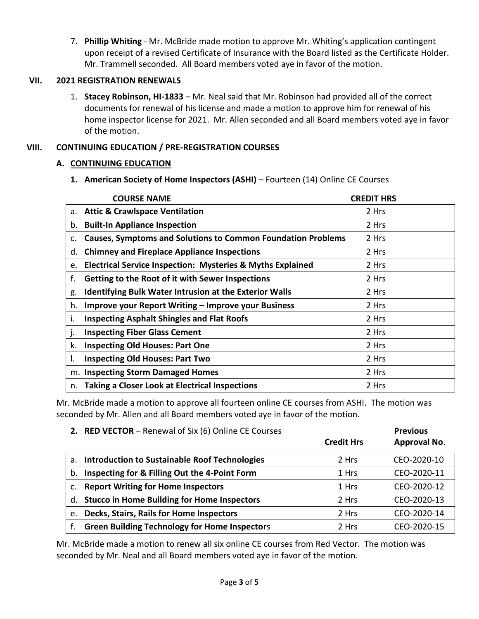7. **Phillip Whiting** - Mr. McBride made motion to approve Mr. Whiting's application contingent upon receipt of a revised Certificate of Insurance with the Board listed as the Certificate Holder. Mr. Trammell seconded. All Board members voted aye in favor of the motion.

## **VII. 2021 REGISTRATION RENEWALS**

1. **Stacey Robinson, HI-1833** – Mr. Neal said that Mr. Robinson had provided all of the correct documents for renewal of his license and made a motion to approve him for renewal of his home inspector license for 2021. Mr. Allen seconded and all Board members voted aye in favor of the motion.

## **VIII. CONTINUING EDUCATION / PRE-REGISTRATION COURSES**

## **A. CONTINUING EDUCATION**

**1. American Society of Home Inspectors (ASHI)** – Fourteen (14) Online CE Courses

| <b>COURSE NAME</b>                                                          | <b>CREDIT HRS</b> |
|-----------------------------------------------------------------------------|-------------------|
| <b>Attic &amp; Crawlspace Ventilation</b><br>а.                             | 2 Hrs             |
| b. Built-In Appliance Inspection                                            | 2 Hrs             |
| <b>Causes, Symptoms and Solutions to Common Foundation Problems</b><br>c.   | 2 Hrs             |
| <b>Chimney and Fireplace Appliance Inspections</b><br>d.                    | 2 Hrs             |
| <b>Electrical Service Inspection: Mysteries &amp; Myths Explained</b><br>e. | 2 Hrs             |
| f.<br>Getting to the Root of it with Sewer Inspections                      | 2 Hrs             |
| <b>Identifying Bulk Water Intrusion at the Exterior Walls</b><br>g.         | 2 Hrs             |
| <b>Improve your Report Writing - Improve your Business</b><br>h.            | 2 Hrs             |
| <b>Inspecting Asphalt Shingles and Flat Roofs</b><br>۱.                     | 2 Hrs             |
| <b>Inspecting Fiber Glass Cement</b>                                        | 2 Hrs             |
| k.<br><b>Inspecting Old Houses: Part One</b>                                | 2 Hrs             |
| <b>Inspecting Old Houses: Part Two</b><br>۱.                                | 2 Hrs             |
| m. Inspecting Storm Damaged Homes                                           | 2 Hrs             |
| <b>Taking a Closer Look at Electrical Inspections</b><br>n.                 | 2 Hrs             |

Mr. McBride made a motion to approve all fourteen online CE courses from ASHI. The motion was seconded by Mr. Allen and all Board members voted aye in favor of the motion.

|    | 2. RED VECTOR - Renewal of Six (6) Online CE Courses |                   | <b>Previous</b> |
|----|------------------------------------------------------|-------------------|-----------------|
|    |                                                      | <b>Credit Hrs</b> | Approval No.    |
| a. | <b>Introduction to Sustainable Roof Technologies</b> | 2 Hrs             | CEO-2020-10     |
| b. | Inspecting for & Filling Out the 4-Point Form        | 1 Hrs             | CEO-2020-11     |
| c. | <b>Report Writing for Home Inspectors</b>            | 1 Hrs             | CEO-2020-12     |
|    | d. Stucco in Home Building for Home Inspectors       | 2 Hrs             | CEO-2020-13     |
| e. | <b>Decks, Stairs, Rails for Home Inspectors</b>      | 2 Hrs             | CEO-2020-14     |
|    | <b>Green Building Technology for Home Inspectors</b> | 2 Hrs             | CEO-2020-15     |

Mr. McBride made a motion to renew all six online CE courses from Red Vector. The motion was seconded by Mr. Neal and all Board members voted aye in favor of the motion.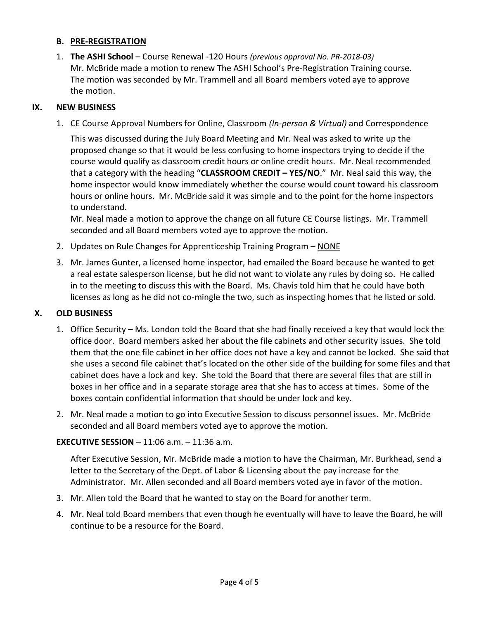## **B. PRE-REGISTRATION**

1. **The ASHI School** – Course Renewal -120 Hours *(previous approval No. PR-2018-03)* Mr. McBride made a motion to renew The ASHI School's Pre-Registration Training course. The motion was seconded by Mr. Trammell and all Board members voted aye to approve the motion.

## **IX. NEW BUSINESS**

1. CE Course Approval Numbers for Online, Classroom *(In-person & Virtual)* and Correspondence

This was discussed during the July Board Meeting and Mr. Neal was asked to write up the proposed change so that it would be less confusing to home inspectors trying to decide if the course would qualify as classroom credit hours or online credit hours. Mr. Neal recommended that a category with the heading "**CLASSROOM CREDIT – YES/NO**." Mr. Neal said this way, the home inspector would know immediately whether the course would count toward his classroom hours or online hours. Mr. McBride said it was simple and to the point for the home inspectors to understand.

Mr. Neal made a motion to approve the change on all future CE Course listings. Mr. Trammell seconded and all Board members voted aye to approve the motion.

- 2. Updates on Rule Changes for Apprenticeship Training Program NONE
- 3. Mr. James Gunter, a licensed home inspector, had emailed the Board because he wanted to get a real estate salesperson license, but he did not want to violate any rules by doing so. He called in to the meeting to discuss this with the Board. Ms. Chavis told him that he could have both licenses as long as he did not co-mingle the two, such as inspecting homes that he listed or sold.

## **X. OLD BUSINESS**

- 1. Office Security Ms. London told the Board that she had finally received a key that would lock the office door. Board members asked her about the file cabinets and other security issues. She told them that the one file cabinet in her office does not have a key and cannot be locked. She said that she uses a second file cabinet that's located on the other side of the building for some files and that cabinet does have a lock and key. She told the Board that there are several files that are still in boxes in her office and in a separate storage area that she has to access at times. Some of the boxes contain confidential information that should be under lock and key.
- 2. Mr. Neal made a motion to go into Executive Session to discuss personnel issues. Mr. McBride seconded and all Board members voted aye to approve the motion.

### **EXECUTIVE SESSION** – 11:06 a.m. – 11:36 a.m.

After Executive Session, Mr. McBride made a motion to have the Chairman, Mr. Burkhead, send a letter to the Secretary of the Dept. of Labor & Licensing about the pay increase for the Administrator. Mr. Allen seconded and all Board members voted aye in favor of the motion.

- 3. Mr. Allen told the Board that he wanted to stay on the Board for another term.
- 4. Mr. Neal told Board members that even though he eventually will have to leave the Board, he will continue to be a resource for the Board.